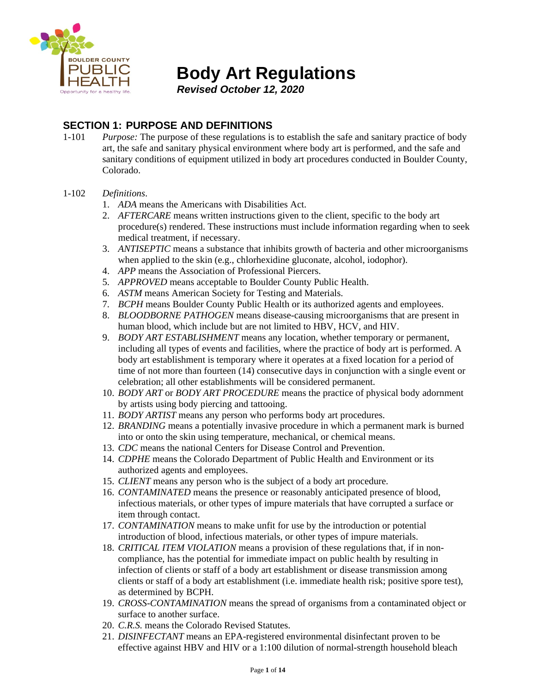

**Body Art Regulations**

*Revised October 12, 2020*

# **SECTION 1: PURPOSE AND DEFINITIONS**

- 1-101 *Purpose:* The purpose of these regulations is to establish the safe and sanitary practice of body art, the safe and sanitary physical environment where body art is performed, and the safe and sanitary conditions of equipment utilized in body art procedures conducted in Boulder County, Colorado.
- 1-102 *Definitions*.
	- 1. *ADA* means the Americans with Disabilities Act.
	- 2. *AFTERCARE* means written instructions given to the client, specific to the body art procedure(s) rendered. These instructions must include information regarding when to seek medical treatment, if necessary.
	- 3. *ANTISEPTIC* means a substance that inhibits growth of bacteria and other microorganisms when applied to the skin (e.g., chlorhexidine gluconate, alcohol, iodophor).
	- 4. *APP* means the Association of Professional Piercers.
	- 5. *APPROVED* means acceptable to Boulder County Public Health.
	- 6. *ASTM* means American Society for Testing and Materials.
	- 7. *BCPH* means Boulder County Public Health or its authorized agents and employees.
	- 8. *BLOODBORNE PATHOGEN* means disease-causing microorganisms that are present in human blood, which include but are not limited to HBV, HCV, and HIV.
	- 9. *BODY ART ESTABLISHMENT* means any location, whether temporary or permanent, including all types of events and facilities, where the practice of body art is performed. A body art establishment is temporary where it operates at a fixed location for a period of time of not more than fourteen (14) consecutive days in conjunction with a single event or celebration; all other establishments will be considered permanent.
	- 10. *BODY ART* or *BODY ART PROCEDURE* means the practice of physical body adornment by artists using body piercing and tattooing.
	- 11. *BODY ARTIST* means any person who performs body art procedures.
	- 12. *BRANDING* means a potentially invasive procedure in which a permanent mark is burned into or onto the skin using temperature, mechanical, or chemical means.
	- 13. *CDC* means the national Centers for Disease Control and Prevention.
	- 14. *CDPHE* means the Colorado Department of Public Health and Environment or its authorized agents and employees.
	- 15. *CLIENT* means any person who is the subject of a body art procedure.
	- 16. *CONTAMINATED* means the presence or reasonably anticipated presence of blood, infectious materials, or other types of impure materials that have corrupted a surface or item through contact.
	- 17. *CONTAMINATION* means to make unfit for use by the introduction or potential introduction of blood, infectious materials, or other types of impure materials.
	- 18. *CRITICAL ITEM VIOLATION* means a provision of these regulations that, if in noncompliance, has the potential for immediate impact on public health by resulting in infection of clients or staff of a body art establishment or disease transmission among clients or staff of a body art establishment (i.e. immediate health risk; positive spore test), as determined by BCPH.
	- 19. *CROSS-CONTAMINATION* means the spread of organisms from a contaminated object or surface to another surface.
	- 20. *C.R.S.* means the Colorado Revised Statutes.
	- 21. *DISINFECTANT* means an EPA-registered environmental disinfectant proven to be effective against HBV and HIV or a 1:100 dilution of normal-strength household bleach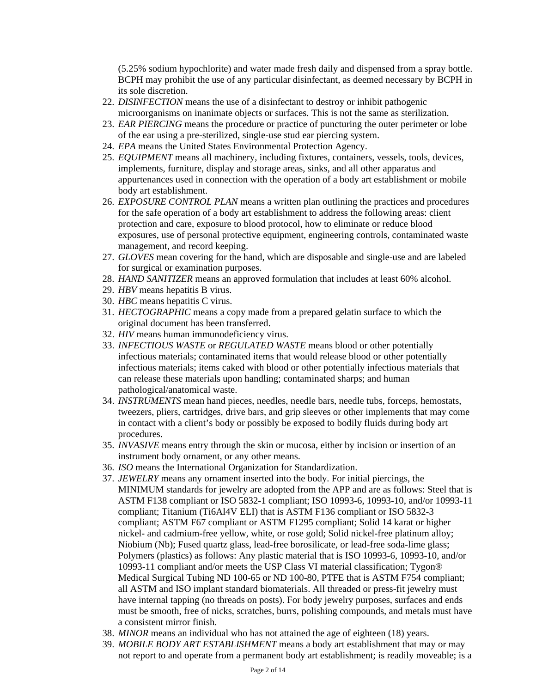(5.25% sodium hypochlorite) and water made fresh daily and dispensed from a spray bottle. BCPH may prohibit the use of any particular disinfectant, as deemed necessary by BCPH in its sole discretion.

- 22. *DISINFECTION* means the use of a disinfectant to destroy or inhibit pathogenic microorganisms on inanimate objects or surfaces. This is not the same as sterilization.
- 23. *EAR PIERCING* means the procedure or practice of puncturing the outer perimeter or lobe of the ear using a pre-sterilized, single-use stud ear piercing system.
- 24. *EPA* means the United States Environmental Protection Agency.
- 25. *EQUIPMENT* means all machinery, including fixtures, containers, vessels, tools, devices, implements, furniture, display and storage areas, sinks, and all other apparatus and appurtenances used in connection with the operation of a body art establishment or mobile body art establishment.
- 26. *EXPOSURE CONTROL PLAN* means a written plan outlining the practices and procedures for the safe operation of a body art establishment to address the following areas: client protection and care, exposure to blood protocol, how to eliminate or reduce blood exposures, use of personal protective equipment, engineering controls, contaminated waste management, and record keeping.
- 27. *GLOVES* mean covering for the hand, which are disposable and single-use and are labeled for surgical or examination purposes.
- 28. *HAND SANITIZER* means an approved formulation that includes at least 60% alcohol.
- 29. *HBV* means hepatitis B virus.
- 30. *HBC* means hepatitis C virus.
- 31. *HECTOGRAPHIC* means a copy made from a prepared gelatin surface to which the original document has been transferred.
- 32. *HIV* means human immunodeficiency virus.
- 33. *INFECTIOUS WASTE* or *REGULATED WASTE* means blood or other potentially infectious materials; contaminated items that would release blood or other potentially infectious materials; items caked with blood or other potentially infectious materials that can release these materials upon handling; contaminated sharps; and human pathological/anatomical waste.
- 34. *INSTRUMENTS* mean hand pieces, needles, needle bars, needle tubs, forceps, hemostats, tweezers, pliers, cartridges, drive bars, and grip sleeves or other implements that may come in contact with a client's body or possibly be exposed to bodily fluids during body art procedures.
- 35. *INVASIVE* means entry through the skin or mucosa, either by incision or insertion of an instrument body ornament, or any other means.
- 36. *ISO* means the International Organization for Standardization.
- 37. *JEWELRY* means any ornament inserted into the body. For initial piercings, the MINIMUM standards for jewelry are adopted from the APP and are as follows: Steel that is ASTM F138 compliant or ISO 5832-1 compliant; ISO 10993-6, 10993-10, and/or 10993-11 compliant; Titanium (Ti6Al4V ELI) that is ASTM F136 compliant or ISO 5832-3 compliant; ASTM F67 compliant or ASTM F1295 compliant; Solid 14 karat or higher nickel- and cadmium-free yellow, white, or rose gold; Solid nickel-free platinum alloy; Niobium (Nb); Fused quartz glass, lead-free borosilicate, or lead-free soda-lime glass; Polymers (plastics) as follows: Any plastic material that is ISO 10993-6, 10993-10, and/or 10993-11 compliant and/or meets the USP Class VI material classification; Tygon® Medical Surgical Tubing ND 100-65 or ND 100-80, PTFE that is ASTM F754 compliant; all ASTM and ISO implant standard biomaterials. All threaded or press-fit jewelry must have internal tapping (no threads on posts). For body jewelry purposes, surfaces and ends must be smooth, free of nicks, scratches, burrs, polishing compounds, and metals must have a consistent mirror finish.
- 38. *MINOR* means an individual who has not attained the age of eighteen (18) years.
- 39. *MOBILE BODY ART ESTABLISHMENT* means a body art establishment that may or may not report to and operate from a permanent body art establishment; is readily moveable; is a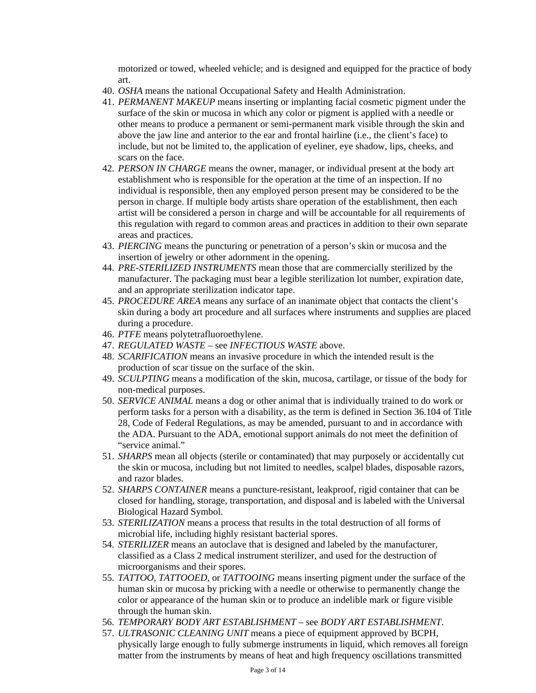motorized or towed, wheeled vehicle; and is designed and equipped for the practice of body art.

- 40. *OSHA* means the national Occupational Safety and Health Administration.
- 41. *PERMANENT MAKEUP* means inserting or implanting facial cosmetic pigment under the surface of the skin or mucosa in which any color or pigment is applied with a needle or other means to produce a permanent or semi-permanent mark visible through the skin and above the jaw line and anterior to the ear and frontal hairline (i.e., the client's face) to include, but not be limited to, the application of eyeliner, eye shadow, lips, cheeks, and scars on the face.
- 42. *PERSON IN CHARGE* means the owner, manager, or individual present at the body art establishment who is responsible for the operation at the time of an inspection. If no individual is responsible, then any employed person present may be considered to be the person in charge. If multiple body artists share operation of the establishment, then each artist will be considered a person in charge and will be accountable for all requirements of this regulation with regard to common areas and practices in addition to their own separate areas and practices.
- 43. *PIERCING* means the puncturing or penetration of a person's skin or mucosa and the insertion of jewelry or other adornment in the opening.
- 44. *PRE-STERILIZED INSTRUMENTS* mean those that are commercially sterilized by the manufacturer. The packaging must bear a legible sterilization lot number, expiration date, and an appropriate sterilization indicator tape.
- 45. *PROCEDURE AREA* means any surface of an inanimate object that contacts the client's skin during a body art procedure and all surfaces where instruments and supplies are placed during a procedure.
- 46. *PTFE* means polytetrafluoroethylene.
- 47. *REGULATED WASTE* see *INFECTIOUS WASTE* above.
- 48. *SCARIFICATION* means an invasive procedure in which the intended result is the production of scar tissue on the surface of the skin.
- 49. *SCULPTING* means a modification of the skin, mucosa, cartilage, or tissue of the body for non-medical purposes.
- 50. *SERVICE ANIMAL* means a dog or other animal that is individually trained to do work or perform tasks for a person with a disability, as the term is defined in Section 36.104 of Title 28, Code of Federal Regulations, as may be amended, pursuant to and in accordance with the ADA. Pursuant to the ADA, emotional support animals do not meet the definition of "service animal."
- 51. *SHARPS* mean all objects (sterile or contaminated) that may purposely or accidentally cut the skin or mucosa, including but not limited to needles, scalpel blades, disposable razors, and razor blades.
- 52. *SHARPS CONTAINER* means a puncture-resistant, leakproof, rigid container that can be closed for handling, storage, transportation, and disposal and is labeled with the Universal Biological Hazard Symbol.
- 53. *STERILIZATION* means a process that results in the total destruction of all forms of microbial life, including highly resistant bacterial spores.
- 54. *STERILIZER* means an autoclave that is designed and labeled by the manufacturer, classified as a Class 2 medical instrument sterilizer, and used for the destruction of microorganisms and their spores.
- 55. *TATTOO, TATTOOED,* or *TATTOOING* means inserting pigment under the surface of the human skin or mucosa by pricking with a needle or otherwise to permanently change the color or appearance of the human skin or to produce an indelible mark or figure visible through the human skin.
- 56. *TEMPORARY BODY ART ESTABLISHMENT –* see *BODY ART ESTABLISHMENT*.
- 57. *ULTRASONIC CLEANING UNIT* means a piece of equipment approved by BCPH, physically large enough to fully submerge instruments in liquid, which removes all foreign matter from the instruments by means of heat and high frequency oscillations transmitted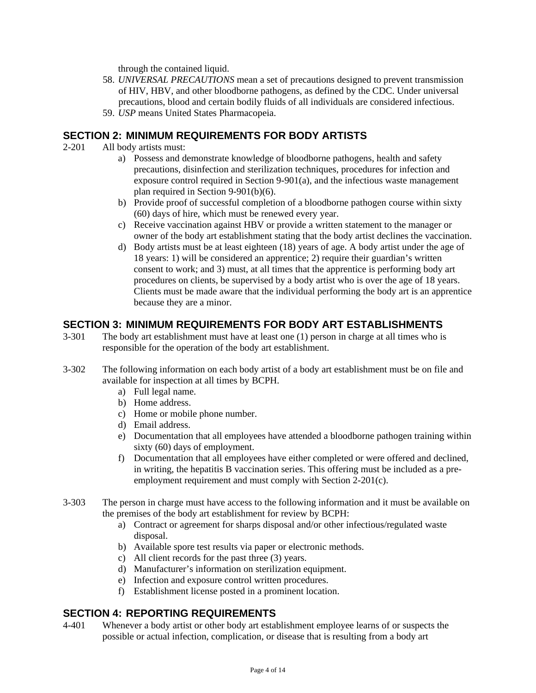through the contained liquid.

- 58. *UNIVERSAL PRECAUTIONS* mean a set of precautions designed to prevent transmission of HIV, HBV, and other bloodborne pathogens, as defined by the CDC. Under universal precautions, blood and certain bodily fluids of all individuals are considered infectious.
- 59. *USP* means United States Pharmacopeia.

## **SECTION 2: MINIMUM REQUIREMENTS FOR BODY ARTISTS**

- 2-201 All body artists must:
	- a) Possess and demonstrate knowledge of bloodborne pathogens, health and safety precautions, disinfection and sterilization techniques, procedures for infection and exposure control required in Section 9-901(a), and the infectious waste management plan required in Section 9-901(b)(6).
	- b) Provide proof of successful completion of a bloodborne pathogen course within sixty (60) days of hire, which must be renewed every year.
	- c) Receive vaccination against HBV or provide a written statement to the manager or owner of the body art establishment stating that the body artist declines the vaccination.
	- d) Body artists must be at least eighteen (18) years of age. A body artist under the age of 18 years: 1) will be considered an apprentice; 2) require their guardian's written consent to work; and 3) must, at all times that the apprentice is performing body art procedures on clients, be supervised by a body artist who is over the age of 18 years. Clients must be made aware that the individual performing the body art is an apprentice because they are a minor.

# **SECTION 3: MINIMUM REQUIREMENTS FOR BODY ART ESTABLISHMENTS**

- 3-301 The body art establishment must have at least one (1) person in charge at all times who is responsible for the operation of the body art establishment.
- 3-302 The following information on each body artist of a body art establishment must be on file and available for inspection at all times by BCPH.
	- a) Full legal name.
	- b) Home address.
	- c) Home or mobile phone number.
	- d) Email address.
	- e) Documentation that all employees have attended a bloodborne pathogen training within sixty (60) days of employment.
	- f) Documentation that all employees have either completed or were offered and declined, in writing, the hepatitis B vaccination series. This offering must be included as a preemployment requirement and must comply with Section 2-201(c).
- 3-303 The person in charge must have access to the following information and it must be available on the premises of the body art establishment for review by BCPH:
	- a) Contract or agreement for sharps disposal and/or other infectious/regulated waste disposal.
	- b) Available spore test results via paper or electronic methods.
	- c) All client records for the past three (3) years.
	- d) Manufacturer's information on sterilization equipment.
	- e) Infection and exposure control written procedures.
	- f) Establishment license posted in a prominent location.

# **SECTION 4: REPORTING REQUIREMENTS**

4-401 Whenever a body artist or other body art establishment employee learns of or suspects the possible or actual infection, complication, or disease that is resulting from a body art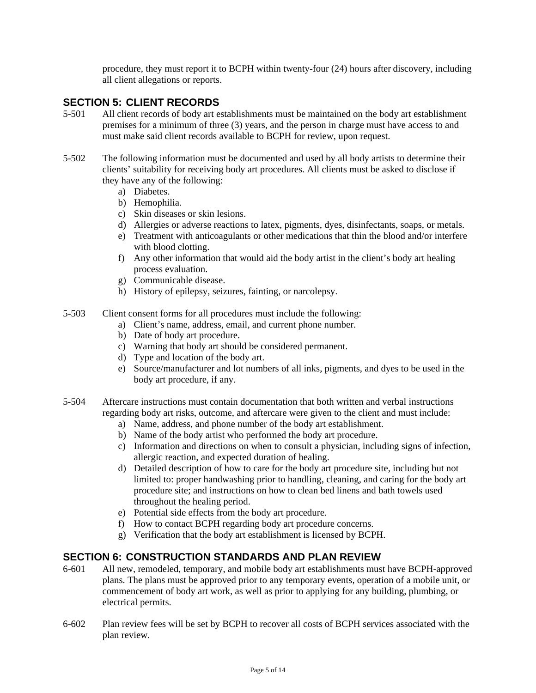procedure, they must report it to BCPH within twenty-four (24) hours after discovery, including all client allegations or reports.

## **SECTION 5: CLIENT RECORDS**

- 5-501 All client records of body art establishments must be maintained on the body art establishment premises for a minimum of three (3) years, and the person in charge must have access to and must make said client records available to BCPH for review, upon request.
- 5-502 The following information must be documented and used by all body artists to determine their clients' suitability for receiving body art procedures. All clients must be asked to disclose if they have any of the following:
	- a) Diabetes.
	- b) Hemophilia.
	- c) Skin diseases or skin lesions.
	- d) Allergies or adverse reactions to latex, pigments, dyes, disinfectants, soaps, or metals.
	- e) Treatment with anticoagulants or other medications that thin the blood and/or interfere with blood clotting.
	- f) Any other information that would aid the body artist in the client's body art healing process evaluation.
	- g) Communicable disease.
	- h) History of epilepsy, seizures, fainting, or narcolepsy.
- 5-503 Client consent forms for all procedures must include the following:
	- a) Client's name, address, email, and current phone number.
	- b) Date of body art procedure.
	- c) Warning that body art should be considered permanent.
	- d) Type and location of the body art.
	- e) Source/manufacturer and lot numbers of all inks, pigments, and dyes to be used in the body art procedure, if any.
- 5-504 Aftercare instructions must contain documentation that both written and verbal instructions regarding body art risks, outcome, and aftercare were given to the client and must include:
	- a) Name, address, and phone number of the body art establishment.
	- b) Name of the body artist who performed the body art procedure.
	- c) Information and directions on when to consult a physician, including signs of infection, allergic reaction, and expected duration of healing.
	- d) Detailed description of how to care for the body art procedure site, including but not limited to: proper handwashing prior to handling, cleaning, and caring for the body art procedure site; and instructions on how to clean bed linens and bath towels used throughout the healing period.
	- e) Potential side effects from the body art procedure.
	- f) How to contact BCPH regarding body art procedure concerns.
	- g) Verification that the body art establishment is licensed by BCPH.

# **SECTION 6: CONSTRUCTION STANDARDS AND PLAN REVIEW**

- 6-601 All new, remodeled, temporary, and mobile body art establishments must have BCPH-approved plans. The plans must be approved prior to any temporary events, operation of a mobile unit, or commencement of body art work, as well as prior to applying for any building, plumbing, or electrical permits.
- 6-602 Plan review fees will be set by BCPH to recover all costs of BCPH services associated with the plan review.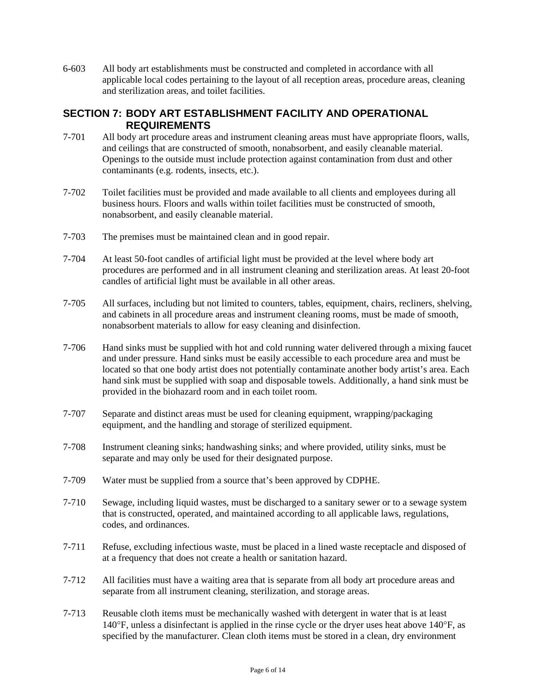6-603 All body art establishments must be constructed and completed in accordance with all applicable local codes pertaining to the layout of all reception areas, procedure areas, cleaning and sterilization areas, and toilet facilities.

## **SECTION 7: BODY ART ESTABLISHMENT FACILITY AND OPERATIONAL REQUIREMENTS**

- 7-701 All body art procedure areas and instrument cleaning areas must have appropriate floors, walls, and ceilings that are constructed of smooth, nonabsorbent, and easily cleanable material. Openings to the outside must include protection against contamination from dust and other contaminants (e.g. rodents, insects, etc.).
- 7-702 Toilet facilities must be provided and made available to all clients and employees during all business hours. Floors and walls within toilet facilities must be constructed of smooth, nonabsorbent, and easily cleanable material.
- 7-703 The premises must be maintained clean and in good repair.
- 7-704 At least 50-foot candles of artificial light must be provided at the level where body art procedures are performed and in all instrument cleaning and sterilization areas. At least 20-foot candles of artificial light must be available in all other areas.
- 7-705 All surfaces, including but not limited to counters, tables, equipment, chairs, recliners, shelving, and cabinets in all procedure areas and instrument cleaning rooms, must be made of smooth, nonabsorbent materials to allow for easy cleaning and disinfection.
- 7-706 Hand sinks must be supplied with hot and cold running water delivered through a mixing faucet and under pressure. Hand sinks must be easily accessible to each procedure area and must be located so that one body artist does not potentially contaminate another body artist's area. Each hand sink must be supplied with soap and disposable towels. Additionally, a hand sink must be provided in the biohazard room and in each toilet room.
- 7-707 Separate and distinct areas must be used for cleaning equipment, wrapping/packaging equipment, and the handling and storage of sterilized equipment.
- 7-708 Instrument cleaning sinks; handwashing sinks; and where provided, utility sinks, must be separate and may only be used for their designated purpose.
- 7-709 Water must be supplied from a source that's been approved by CDPHE.
- 7-710 Sewage, including liquid wastes, must be discharged to a sanitary sewer or to a sewage system that is constructed, operated, and maintained according to all applicable laws, regulations, codes, and ordinances.
- 7-711 Refuse, excluding infectious waste, must be placed in a lined waste receptacle and disposed of at a frequency that does not create a health or sanitation hazard.
- 7-712 All facilities must have a waiting area that is separate from all body art procedure areas and separate from all instrument cleaning, sterilization, and storage areas.
- 7-713 Reusable cloth items must be mechanically washed with detergent in water that is at least 140°F, unless a disinfectant is applied in the rinse cycle or the dryer uses heat above 140°F, as specified by the manufacturer. Clean cloth items must be stored in a clean, dry environment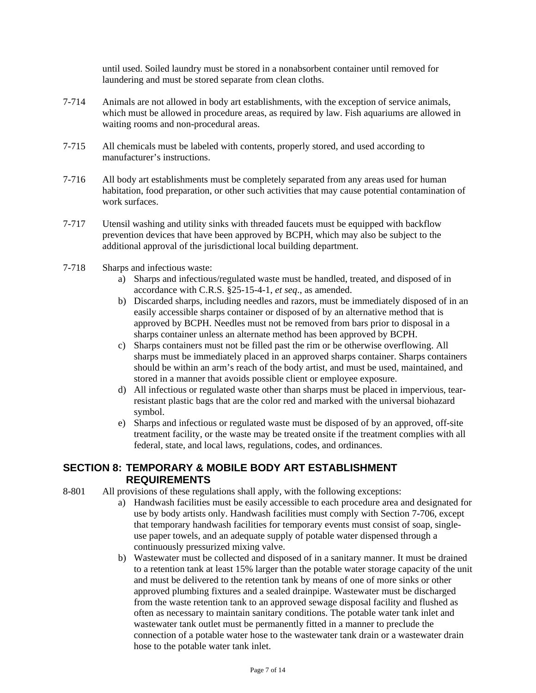until used. Soiled laundry must be stored in a nonabsorbent container until removed for laundering and must be stored separate from clean cloths.

- 7-714 Animals are not allowed in body art establishments, with the exception of service animals, which must be allowed in procedure areas, as required by law. Fish aquariums are allowed in waiting rooms and non-procedural areas.
- 7-715 All chemicals must be labeled with contents, properly stored, and used according to manufacturer's instructions.
- 7-716 All body art establishments must be completely separated from any areas used for human habitation, food preparation, or other such activities that may cause potential contamination of work surfaces.
- 7-717 Utensil washing and utility sinks with threaded faucets must be equipped with backflow prevention devices that have been approved by BCPH, which may also be subject to the additional approval of the jurisdictional local building department.
- 7-718 Sharps and infectious waste:
	- a) Sharps and infectious/regulated waste must be handled, treated, and disposed of in accordance with C.R.S. §25-15-4-1, *et seq*., as amended.
	- b) Discarded sharps, including needles and razors, must be immediately disposed of in an easily accessible sharps container or disposed of by an alternative method that is approved by BCPH. Needles must not be removed from bars prior to disposal in a sharps container unless an alternate method has been approved by BCPH.
	- c) Sharps containers must not be filled past the rim or be otherwise overflowing. All sharps must be immediately placed in an approved sharps container. Sharps containers should be within an arm's reach of the body artist, and must be used, maintained, and stored in a manner that avoids possible client or employee exposure.
	- d) All infectious or regulated waste other than sharps must be placed in impervious, tearresistant plastic bags that are the color red and marked with the universal biohazard symbol.
	- e) Sharps and infectious or regulated waste must be disposed of by an approved, off-site treatment facility, or the waste may be treated onsite if the treatment complies with all federal, state, and local laws, regulations, codes, and ordinances.

## **SECTION 8: TEMPORARY & MOBILE BODY ART ESTABLISHMENT REQUIREMENTS**

8-801 All provisions of these regulations shall apply, with the following exceptions:

- a) Handwash facilities must be easily accessible to each procedure area and designated for use by body artists only. Handwash facilities must comply with Section 7-706, except that temporary handwash facilities for temporary events must consist of soap, singleuse paper towels, and an adequate supply of potable water dispensed through a continuously pressurized mixing valve.
	- b) Wastewater must be collected and disposed of in a sanitary manner. It must be drained to a retention tank at least 15% larger than the potable water storage capacity of the unit and must be delivered to the retention tank by means of one of more sinks or other approved plumbing fixtures and a sealed drainpipe. Wastewater must be discharged from the waste retention tank to an approved sewage disposal facility and flushed as often as necessary to maintain sanitary conditions. The potable water tank inlet and wastewater tank outlet must be permanently fitted in a manner to preclude the connection of a potable water hose to the wastewater tank drain or a wastewater drain hose to the potable water tank inlet.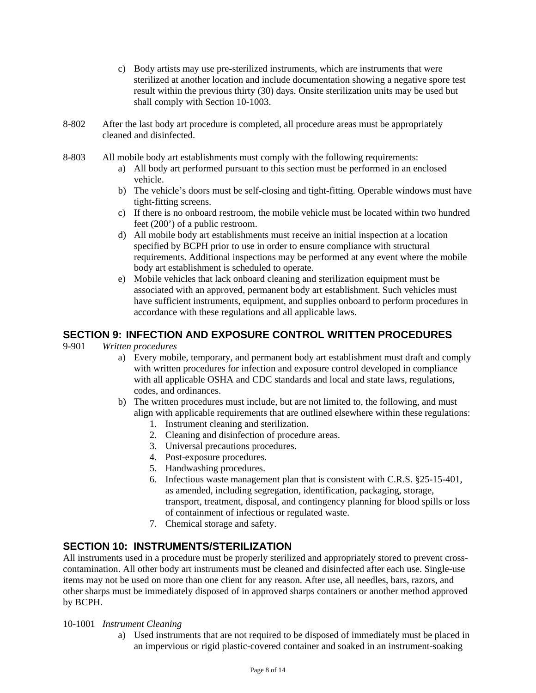- c) Body artists may use pre-sterilized instruments, which are instruments that were sterilized at another location and include documentation showing a negative spore test result within the previous thirty (30) days. Onsite sterilization units may be used but shall comply with Section 10-1003.
- 8-802 After the last body art procedure is completed, all procedure areas must be appropriately cleaned and disinfected.
- 8-803 All mobile body art establishments must comply with the following requirements:
	- a) All body art performed pursuant to this section must be performed in an enclosed vehicle.
	- b) The vehicle's doors must be self-closing and tight-fitting. Operable windows must have tight-fitting screens.
	- c) If there is no onboard restroom, the mobile vehicle must be located within two hundred feet (200') of a public restroom.
	- d) All mobile body art establishments must receive an initial inspection at a location specified by BCPH prior to use in order to ensure compliance with structural requirements. Additional inspections may be performed at any event where the mobile body art establishment is scheduled to operate.
	- e) Mobile vehicles that lack onboard cleaning and sterilization equipment must be associated with an approved, permanent body art establishment. Such vehicles must have sufficient instruments, equipment, and supplies onboard to perform procedures in accordance with these regulations and all applicable laws.

# **SECTION 9: INFECTION AND EXPOSURE CONTROL WRITTEN PROCEDURES**<br>9-901 Written procedures

- 9-901 *Written procedures*
	- a) Every mobile, temporary, and permanent body art establishment must draft and comply with written procedures for infection and exposure control developed in compliance with all applicable OSHA and CDC standards and local and state laws, regulations, codes, and ordinances.
	- b) The written procedures must include, but are not limited to, the following, and must align with applicable requirements that are outlined elsewhere within these regulations:
		- 1. Instrument cleaning and sterilization.
		- 2. Cleaning and disinfection of procedure areas.
		- 3. Universal precautions procedures.
		- 4. Post-exposure procedures.
		- 5. Handwashing procedures.
		- 6. Infectious waste management plan that is consistent with C.R.S. §25-15-401, as amended, including segregation, identification, packaging, storage, transport, treatment, disposal, and contingency planning for blood spills or loss of containment of infectious or regulated waste.
		- 7. Chemical storage and safety.

## **SECTION 10: INSTRUMENTS/STERILIZATION**

All instruments used in a procedure must be properly sterilized and appropriately stored to prevent crosscontamination. All other body art instruments must be cleaned and disinfected after each use. Single-use items may not be used on more than one client for any reason. After use, all needles, bars, razors, and other sharps must be immediately disposed of in approved sharps containers or another method approved by BCPH.

#### 10-1001 *Instrument Cleaning*

a) Used instruments that are not required to be disposed of immediately must be placed in an impervious or rigid plastic-covered container and soaked in an instrument-soaking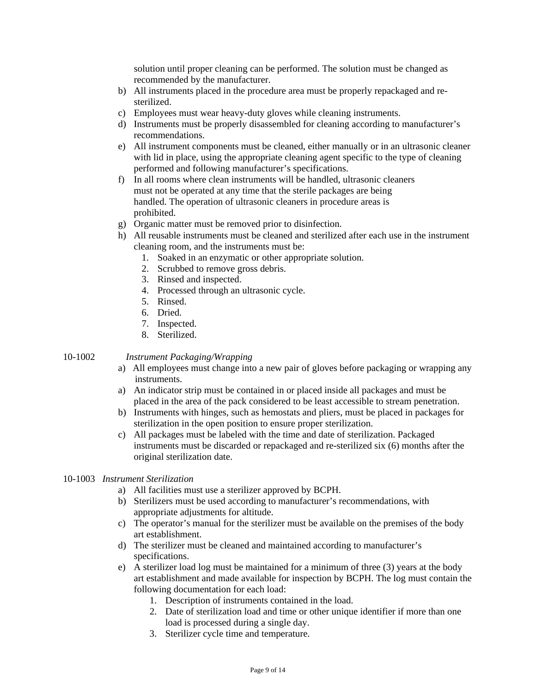solution until proper cleaning can be performed. The solution must be changed as recommended by the manufacturer.

- b) All instruments placed in the procedure area must be properly repackaged and resterilized.
- c) Employees must wear heavy-duty gloves while cleaning instruments.
- d) Instruments must be properly disassembled for cleaning according to manufacturer's recommendations.
- e) All instrument components must be cleaned, either manually or in an ultrasonic cleaner with lid in place, using the appropriate cleaning agent specific to the type of cleaning performed and following manufacturer's specifications.
- f) In all rooms where clean instruments will be handled, ultrasonic cleaners must not be operated at any time that the sterile packages are being handled. The operation of ultrasonic cleaners in procedure areas is prohibited.
- g) Organic matter must be removed prior to disinfection.
- h) All reusable instruments must be cleaned and sterilized after each use in the instrument cleaning room, and the instruments must be:
	- 1. Soaked in an enzymatic or other appropriate solution.
	- 2. Scrubbed to remove gross debris.
	- 3. Rinsed and inspected.
	- 4. Processed through an ultrasonic cycle.
	- 5. Rinsed.
	- 6. Dried.
	- 7. Inspected.
	- 8. Sterilized.

## 10-1002 *Instrument Packaging/Wrapping*

- a) All employees must change into a new pair of gloves before packaging or wrapping any instruments.
- a) An indicator strip must be contained in or placed inside all packages and must be placed in the area of the pack considered to be least accessible to stream penetration.
- b) Instruments with hinges, such as hemostats and pliers, must be placed in packages for sterilization in the open position to ensure proper sterilization.
- c) All packages must be labeled with the time and date of sterilization. Packaged instruments must be discarded or repackaged and re-sterilized six (6) months after the original sterilization date.

#### 10-1003 *Instrument Sterilization*

- a) All facilities must use a sterilizer approved by BCPH.
- b) Sterilizers must be used according to manufacturer's recommendations, with appropriate adjustments for altitude.
- c) The operator's manual for the sterilizer must be available on the premises of the body art establishment.
- d) The sterilizer must be cleaned and maintained according to manufacturer's specifications.
- e) A sterilizer load log must be maintained for a minimum of three (3) years at the body art establishment and made available for inspection by BCPH. The log must contain the following documentation for each load:
	- 1. Description of instruments contained in the load.
	- 2. Date of sterilization load and time or other unique identifier if more than one load is processed during a single day.
	- 3. Sterilizer cycle time and temperature.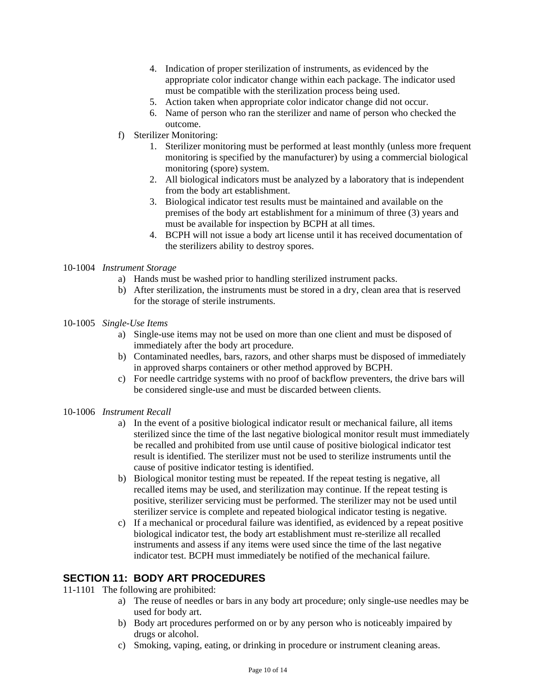- 4. Indication of proper sterilization of instruments, as evidenced by the appropriate color indicator change within each package. The indicator used must be compatible with the sterilization process being used.
- 5. Action taken when appropriate color indicator change did not occur.
- 6. Name of person who ran the sterilizer and name of person who checked the outcome.
- f) Sterilizer Monitoring:
	- 1. Sterilizer monitoring must be performed at least monthly (unless more frequent monitoring is specified by the manufacturer) by using a commercial biological monitoring (spore) system.
	- 2. All biological indicators must be analyzed by a laboratory that is independent from the body art establishment.
	- 3. Biological indicator test results must be maintained and available on the premises of the body art establishment for a minimum of three (3) years and must be available for inspection by BCPH at all times.
	- 4. BCPH will not issue a body art license until it has received documentation of the sterilizers ability to destroy spores.

## 10-1004 *Instrument Storage*

- a) Hands must be washed prior to handling sterilized instrument packs.
- b) After sterilization, the instruments must be stored in a dry, clean area that is reserved for the storage of sterile instruments.
- 10-1005 *Single-Use Items*
	- a) Single-use items may not be used on more than one client and must be disposed of immediately after the body art procedure.
	- b) Contaminated needles, bars, razors, and other sharps must be disposed of immediately in approved sharps containers or other method approved by BCPH.
	- c) For needle cartridge systems with no proof of backflow preventers, the drive bars will be considered single-use and must be discarded between clients.
- 10-1006 *Instrument Recall*
	- a) In the event of a positive biological indicator result or mechanical failure, all items sterilized since the time of the last negative biological monitor result must immediately be recalled and prohibited from use until cause of positive biological indicator test result is identified. The sterilizer must not be used to sterilize instruments until the cause of positive indicator testing is identified.
	- b) Biological monitor testing must be repeated. If the repeat testing is negative, all recalled items may be used, and sterilization may continue. If the repeat testing is positive, sterilizer servicing must be performed. The sterilizer may not be used until sterilizer service is complete and repeated biological indicator testing is negative.
	- c) If a mechanical or procedural failure was identified, as evidenced by a repeat positive biological indicator test, the body art establishment must re-sterilize all recalled instruments and assess if any items were used since the time of the last negative indicator test. BCPH must immediately be notified of the mechanical failure.

# **SECTION 11: BODY ART PROCEDURES**

- 11-1101 The following are prohibited:
	- a) The reuse of needles or bars in any body art procedure; only single-use needles may be used for body art.
	- b) Body art procedures performed on or by any person who is noticeably impaired by drugs or alcohol.
	- c) Smoking, vaping, eating, or drinking in procedure or instrument cleaning areas.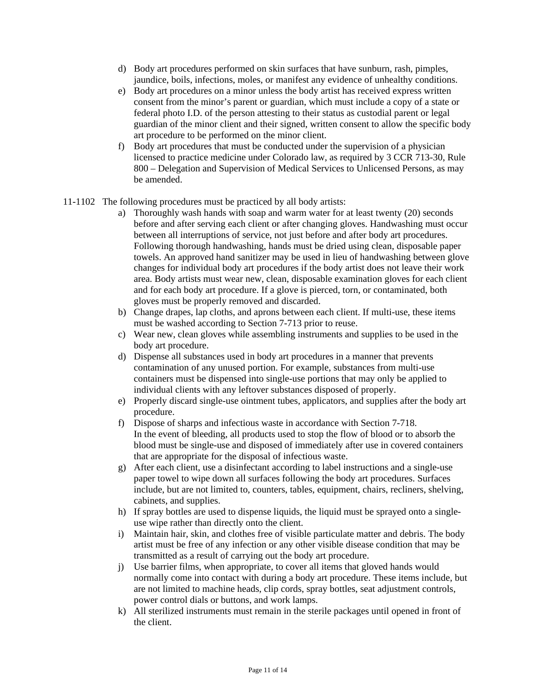- d) Body art procedures performed on skin surfaces that have sunburn, rash, pimples, jaundice, boils, infections, moles, or manifest any evidence of unhealthy conditions.
- e) Body art procedures on a minor unless the body artist has received express written consent from the minor's parent or guardian, which must include a copy of a state or federal photo I.D. of the person attesting to their status as custodial parent or legal guardian of the minor client and their signed, written consent to allow the specific body art procedure to be performed on the minor client.
- f) Body art procedures that must be conducted under the supervision of a physician licensed to practice medicine under Colorado law, as required by 3 CCR 713-30, Rule 800 – Delegation and Supervision of Medical Services to Unlicensed Persons, as may be amended.

## 11-1102 The following procedures must be practiced by all body artists:

- a) Thoroughly wash hands with soap and warm water for at least twenty (20) seconds before and after serving each client or after changing gloves. Handwashing must occur between all interruptions of service, not just before and after body art procedures. Following thorough handwashing, hands must be dried using clean, disposable paper towels. An approved hand sanitizer may be used in lieu of handwashing between glove changes for individual body art procedures if the body artist does not leave their work area. Body artists must wear new, clean, disposable examination gloves for each client and for each body art procedure. If a glove is pierced, torn, or contaminated, both gloves must be properly removed and discarded.
- b) Change drapes, lap cloths, and aprons between each client. If multi-use, these items must be washed according to Section 7-713 prior to reuse.
- c) Wear new, clean gloves while assembling instruments and supplies to be used in the body art procedure.
- d) Dispense all substances used in body art procedures in a manner that prevents contamination of any unused portion. For example, substances from multi-use containers must be dispensed into single-use portions that may only be applied to individual clients with any leftover substances disposed of properly.
- e) Properly discard single-use ointment tubes, applicators, and supplies after the body art procedure.
- f) Dispose of sharps and infectious waste in accordance with Section 7-718. In the event of bleeding, all products used to stop the flow of blood or to absorb the blood must be single-use and disposed of immediately after use in covered containers that are appropriate for the disposal of infectious waste.
- g) After each client, use a disinfectant according to label instructions and a single-use paper towel to wipe down all surfaces following the body art procedures. Surfaces include, but are not limited to, counters, tables, equipment, chairs, recliners, shelving, cabinets, and supplies.
- h) If spray bottles are used to dispense liquids, the liquid must be sprayed onto a singleuse wipe rather than directly onto the client.
- i) Maintain hair, skin, and clothes free of visible particulate matter and debris. The body artist must be free of any infection or any other visible disease condition that may be transmitted as a result of carrying out the body art procedure.
- j) Use barrier films, when appropriate, to cover all items that gloved hands would normally come into contact with during a body art procedure. These items include, but are not limited to machine heads, clip cords, spray bottles, seat adjustment controls, power control dials or buttons, and work lamps.
- k) All sterilized instruments must remain in the sterile packages until opened in front of the client.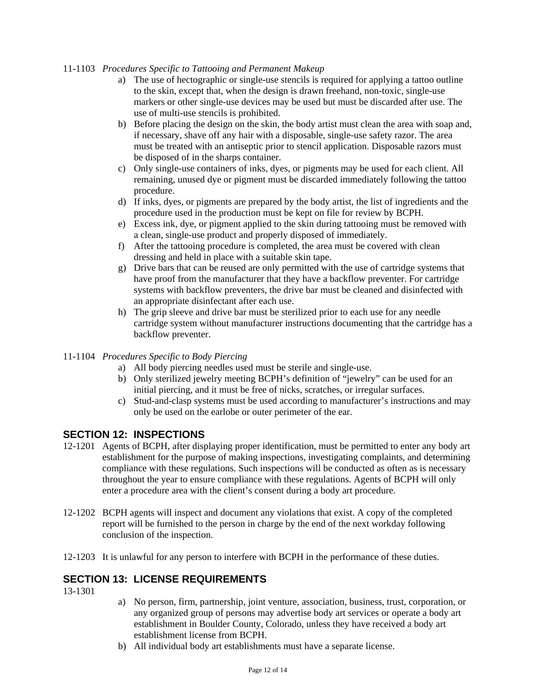## 11-1103 *Procedures Specific to Tattooing and Permanent Makeup*

- a) The use of hectographic or single-use stencils is required for applying a tattoo outline to the skin, except that, when the design is drawn freehand, non-toxic, single-use markers or other single-use devices may be used but must be discarded after use. The use of multi-use stencils is prohibited.
- b) Before placing the design on the skin, the body artist must clean the area with soap and, if necessary, shave off any hair with a disposable, single-use safety razor. The area must be treated with an antiseptic prior to stencil application. Disposable razors must be disposed of in the sharps container.
- c) Only single-use containers of inks, dyes, or pigments may be used for each client. All remaining, unused dye or pigment must be discarded immediately following the tattoo procedure.
- d) If inks, dyes, or pigments are prepared by the body artist, the list of ingredients and the procedure used in the production must be kept on file for review by BCPH.
- e) Excess ink, dye, or pigment applied to the skin during tattooing must be removed with a clean, single-use product and properly disposed of immediately.
- f) After the tattooing procedure is completed, the area must be covered with clean dressing and held in place with a suitable skin tape.
- g) Drive bars that can be reused are only permitted with the use of cartridge systems that have proof from the manufacturer that they have a backflow preventer. For cartridge systems with backflow preventers, the drive bar must be cleaned and disinfected with an appropriate disinfectant after each use.
- h) The grip sleeve and drive bar must be sterilized prior to each use for any needle cartridge system without manufacturer instructions documenting that the cartridge has a backflow preventer.

## 11-1104 *Procedures Specific to Body Piercing*

- a) All body piercing needles used must be sterile and single-use.
- b) Only sterilized jewelry meeting BCPH's definition of "jewelry" can be used for an initial piercing, and it must be free of nicks, scratches, or irregular surfaces.
- c) Stud-and-clasp systems must be used according to manufacturer's instructions and may only be used on the earlobe or outer perimeter of the ear.

# **SECTION 12: INSPECTIONS**

- 12-1201 Agents of BCPH, after displaying proper identification, must be permitted to enter any body art establishment for the purpose of making inspections, investigating complaints, and determining compliance with these regulations. Such inspections will be conducted as often as is necessary throughout the year to ensure compliance with these regulations. Agents of BCPH will only enter a procedure area with the client's consent during a body art procedure.
- 12-1202 BCPH agents will inspect and document any violations that exist. A copy of the completed report will be furnished to the person in charge by the end of the next workday following conclusion of the inspection.
- 12-1203 It is unlawful for any person to interfere with BCPH in the performance of these duties.

## **SECTION 13: LICENSE REQUIREMENTS**

13-1301

- a) No person, firm, partnership, joint venture, association, business, trust, corporation, or any organized group of persons may advertise body art services or operate a body art establishment in Boulder County, Colorado, unless they have received a body art establishment license from BCPH.
- b) All individual body art establishments must have a separate license.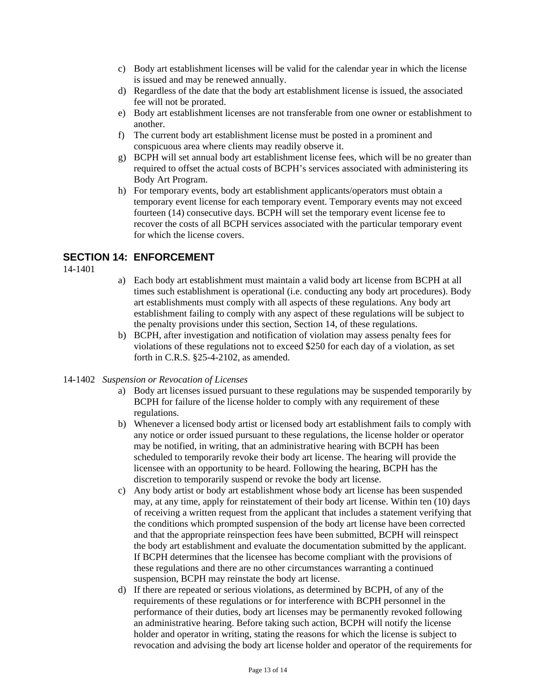- c) Body art establishment licenses will be valid for the calendar year in which the license is issued and may be renewed annually.
- d) Regardless of the date that the body art establishment license is issued, the associated fee will not be prorated.
- e) Body art establishment licenses are not transferable from one owner or establishment to another.
- f) The current body art establishment license must be posted in a prominent and conspicuous area where clients may readily observe it.
- g) BCPH will set annual body art establishment license fees, which will be no greater than required to offset the actual costs of BCPH's services associated with administering its Body Art Program.
- h) For temporary events, body art establishment applicants/operators must obtain a temporary event license for each temporary event. Temporary events may not exceed fourteen (14) consecutive days. BCPH will set the temporary event license fee to recover the costs of all BCPH services associated with the particular temporary event for which the license covers.

# **SECTION 14: ENFORCEMENT**

14-1401

- a) Each body art establishment must maintain a valid body art license from BCPH at all times such establishment is operational (i.e. conducting any body art procedures). Body art establishments must comply with all aspects of these regulations. Any body art establishment failing to comply with any aspect of these regulations will be subject to the penalty provisions under this section, Section 14, of these regulations.
- b) BCPH, after investigation and notification of violation may assess penalty fees for violations of these regulations not to exceed \$250 for each day of a violation, as set forth in C.R.S. §25-4-2102, as amended.

## 14-1402 *Suspension or Revocation of Licenses*

- a) Body art licenses issued pursuant to these regulations may be suspended temporarily by BCPH for failure of the license holder to comply with any requirement of these regulations.
- b) Whenever a licensed body artist or licensed body art establishment fails to comply with any notice or order issued pursuant to these regulations, the license holder or operator may be notified, in writing, that an administrative hearing with BCPH has been scheduled to temporarily revoke their body art license. The hearing will provide the licensee with an opportunity to be heard. Following the hearing, BCPH has the discretion to temporarily suspend or revoke the body art license.
- c) Any body artist or body art establishment whose body art license has been suspended may, at any time, apply for reinstatement of their body art license. Within ten (10) days of receiving a written request from the applicant that includes a statement verifying that the conditions which prompted suspension of the body art license have been corrected and that the appropriate reinspection fees have been submitted, BCPH will reinspect the body art establishment and evaluate the documentation submitted by the applicant. If BCPH determines that the licensee has become compliant with the provisions of these regulations and there are no other circumstances warranting a continued suspension, BCPH may reinstate the body art license.
- d) If there are repeated or serious violations, as determined by BCPH, of any of the requirements of these regulations or for interference with BCPH personnel in the performance of their duties, body art licenses may be permanently revoked following an administrative hearing. Before taking such action, BCPH will notify the license holder and operator in writing, stating the reasons for which the license is subject to revocation and advising the body art license holder and operator of the requirements for